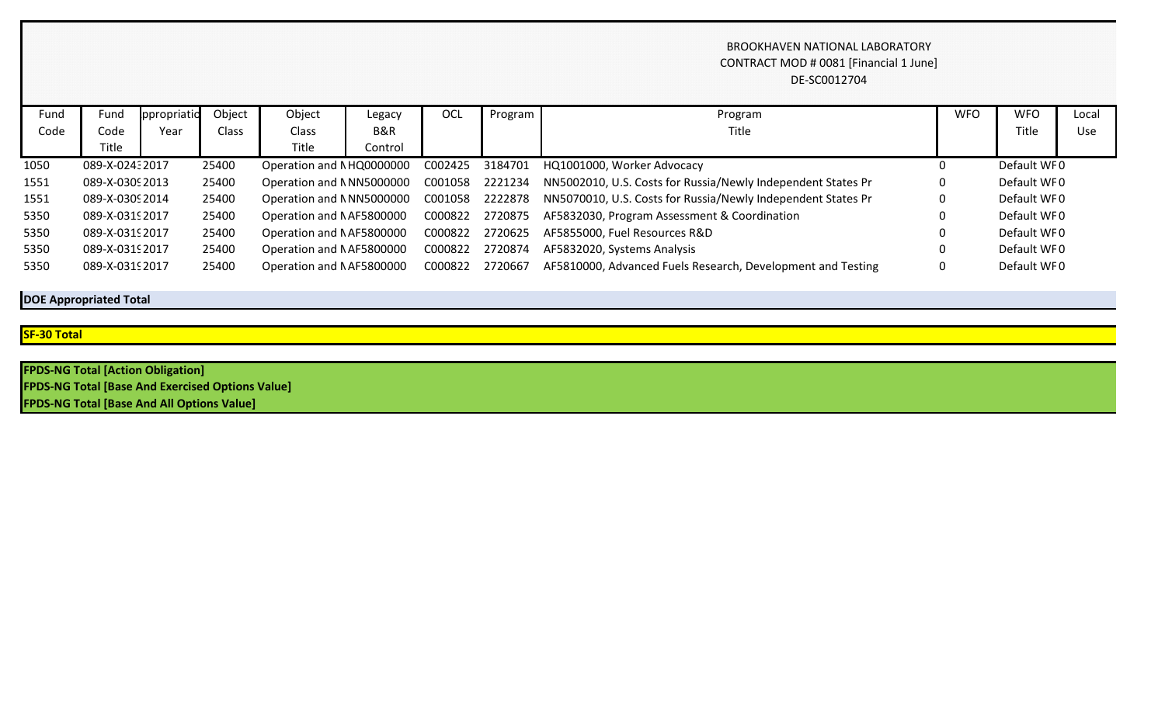## BROOKHAVEN NATIONAL LABORATORY CONTRACT MOD # 0081 [Financial 1 June] DE-SC0012704

| Fund | Fund            | ppropriatio | Object | Object                   | Legacy  | OCL             | Program $\blacksquare$ | Program                                                                                               | <b>WFO</b> | <b>WFO</b>  | Local |
|------|-----------------|-------------|--------|--------------------------|---------|-----------------|------------------------|-------------------------------------------------------------------------------------------------------|------------|-------------|-------|
| Code | Code            | Year        | Class  | Class                    | B&R     |                 |                        | Title                                                                                                 |            | Title       | Use   |
|      | Title           |             |        | Title                    | Control |                 |                        |                                                                                                       |            |             |       |
| 1050 | 089-X-02432017  |             | 25400  | Operation and NHQ0000000 |         | C002425         | 3184701                | HQ1001000, Worker Advocacy                                                                            |            | Default WF0 |       |
| 1551 | 089-X-0309 2013 |             | 25400  |                          |         |                 |                        | Operation and NNN5000000 C001058 2221234 NN5002010, U.S. Costs for Russia/Newly Independent States Pr | 0          | Default WF0 |       |
| 1551 | 089-X-0309 2014 |             | 25400  | Operation and NNN5000000 |         | C001058 2222878 |                        | NN5070010, U.S. Costs for Russia/Newly Independent States Pr                                          | 0          | Default WF0 |       |
| 5350 | 089-X-0319 2017 |             | 25400  | Operation and NAF5800000 |         | C000822 2720875 |                        | AF5832030, Program Assessment & Coordination                                                          |            | Default WF0 |       |
| 5350 | 089-X-0319 2017 |             | 25400  | Operation and NAF5800000 |         | C000822 2720625 |                        | AF5855000, Fuel Resources R&D                                                                         |            | Default WF0 |       |
| 5350 | 089-X-0319 2017 |             | 25400  | Operation and NAF5800000 |         | C000822         | 2720874                | AF5832020, Systems Analysis                                                                           |            | Default WFO |       |
| 5350 | 089-X-0319 2017 |             | 25400  | Operation and NAF5800000 |         | C000822 2720667 |                        | AF5810000, Advanced Fuels Research, Development and Testing                                           |            | Default WF0 |       |

**DOE Appropriated Total**

**SF-30 Total**

**FPDS-NG Total [Action Obligation] FPDS-NG Total [Base And Exercised Options Value] FPDS-NG Total [Base And All Options Value]**